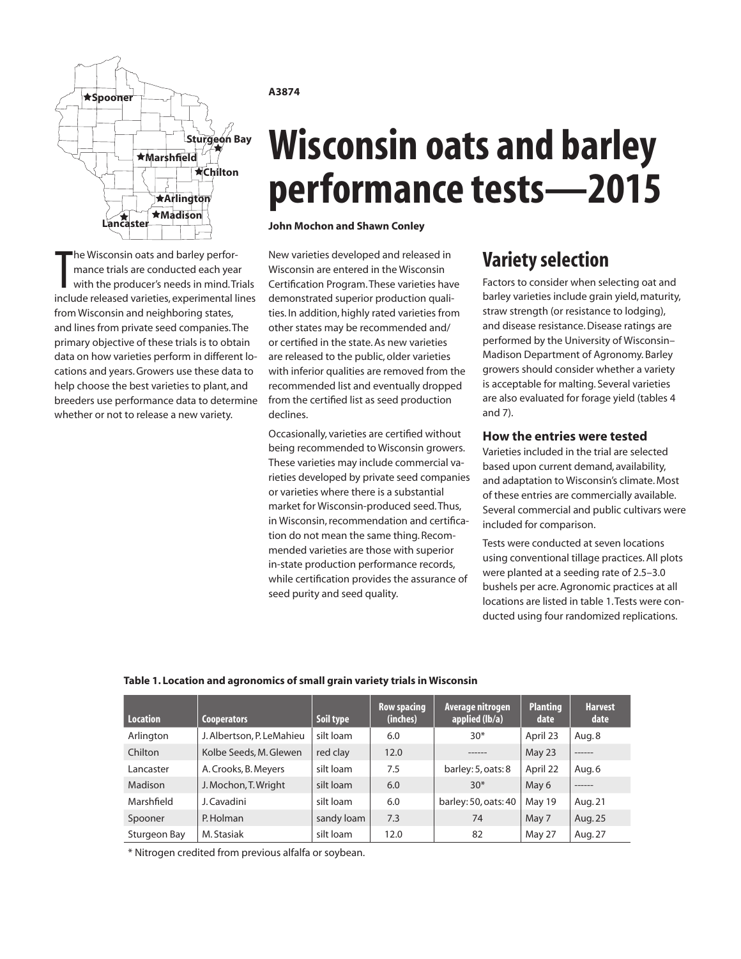

The Wisconsin oats and barley perfor-<br>mance trials are conducted each year<br>with the producer's needs in mind. Trials<br>include released varieties, experimental lines he Wisconsin oats and barley performance trials are conducted each year with the producer's needs in mind. Trials from Wisconsin and neighboring states, and lines from private seed companies. The primary objective of these trials is to obtain data on how varieties perform in different locations and years. Growers use these data to help choose the best varieties to plant, and breeders use performance data to determine whether or not to release a new variety.

### **A3874**

# **Wisconsin oats and barley performance tests—2015**

**John Mochon and Shawn Conley**

New varieties developed and released in Wisconsin are entered in the Wisconsin Certification Program. These varieties have demonstrated superior production qualities. In addition, highly rated varieties from other states may be recommended and/ or certified in the state. As new varieties are released to the public, older varieties with inferior qualities are removed from the recommended list and eventually dropped from the certified list as seed production declines.

Occasionally, varieties are certified without being recommended to Wisconsin growers. These varieties may include commercial varieties developed by private seed companies or varieties where there is a substantial market for Wisconsin-produced seed. Thus, in Wisconsin, recommendation and certification do not mean the same thing. Recommended varieties are those with superior in-state production performance records, while certification provides the assurance of seed purity and seed quality.

# **Variety selection**

Factors to consider when selecting oat and barley varieties include grain yield, maturity, straw strength (or resistance to lodging), and disease resistance. Disease ratings are performed by the University of Wisconsin– Madison Department of Agronomy. Barley growers should consider whether a variety is acceptable for malting. Several varieties are also evaluated for forage yield (tables 4 and 7).

# **How the entries were tested**

Varieties included in the trial are selected based upon current demand, availability, and adaptation to Wisconsin's climate. Most of these entries are commercially available. Several commercial and public cultivars were included for comparison.

Tests were conducted at seven locations using conventional tillage practices. All plots were planted at a seeding rate of 2.5–3.0 bushels per acre. Agronomic practices at all locations are listed in table 1. Tests were conducted using four randomized replications.

# **Table 1. Location and agronomics of small grain variety trials in Wisconsin**

| Location     | <b>Cooperators</b>        | Soil type  | <b>Row spacing</b><br>(inches) | Average nitrogen<br>applied (lb/a) | <b>Planting</b><br>date | <b>Harvest</b><br>date |
|--------------|---------------------------|------------|--------------------------------|------------------------------------|-------------------------|------------------------|
| Arlington    | J. Albertson, P. LeMahieu | silt loam  | 6.0                            | $30*$                              | April 23                | Aug. 8                 |
| Chilton      | Kolbe Seeds, M. Glewen    | red clay   | 12.0                           | ------                             | May 23                  | ------                 |
| Lancaster    | A. Crooks, B. Meyers      | silt loam  | 7.5                            | barley: 5, oats: 8                 | April 22                | Aug.6                  |
| Madison      | J. Mochon, T. Wright      | silt loam  | 6.0                            | $30*$                              | May 6                   | ------                 |
| Marshfield   | J. Cavadini               | silt loam  | 6.0                            | barley: 50, oats: 40               | May 19                  | Aug. 21                |
| Spooner      | P. Holman                 | sandy loam | 7.3                            | 74                                 | May 7                   | Aug. 25                |
| Sturgeon Bay | M. Stasiak                | silt loam  | 12.0                           | 82                                 | May 27                  | Aug. 27                |

\* Nitrogen credited from previous alfalfa or soybean.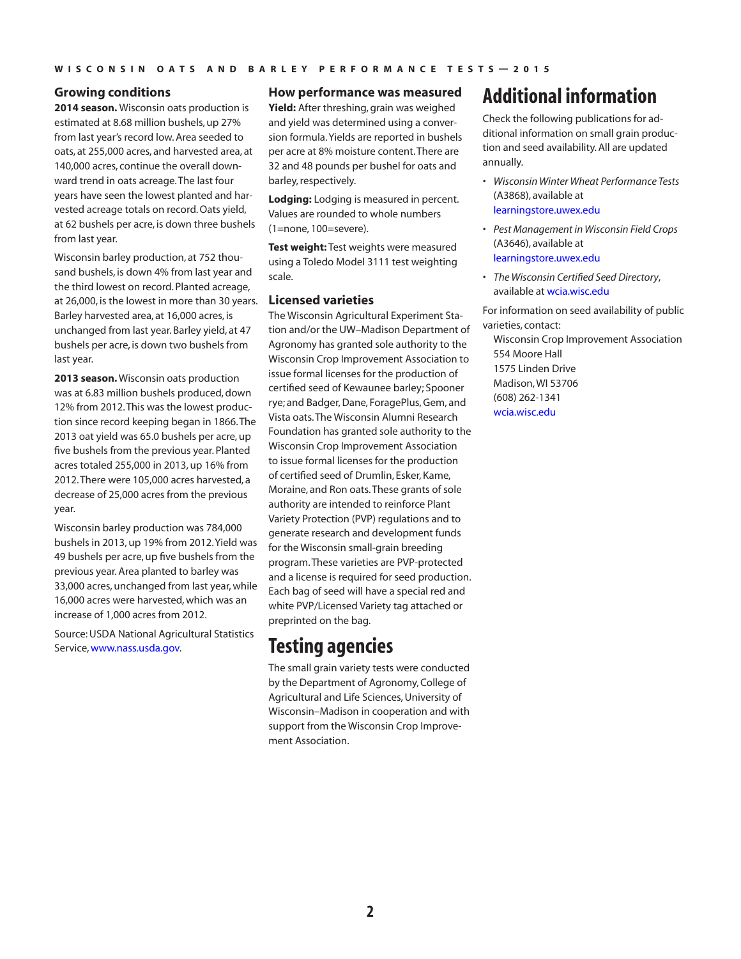## **Growing conditions**

**2014 season.** Wisconsin oats production is estimated at 8.68 million bushels, up 27% from last year's record low. Area seeded to oats, at 255,000 acres, and harvested area, at 140,000 acres, continue the overall downward trend in oats acreage. The last four years have seen the lowest planted and harvested acreage totals on record. Oats yield, at 62 bushels per acre, is down three bushels from last year.

Wisconsin barley production, at 752 thousand bushels, is down 4% from last year and the third lowest on record. Planted acreage, at 26,000, is the lowest in more than 30 years. Barley harvested area, at 16,000 acres, is unchanged from last year. Barley yield, at 47 bushels per acre, is down two bushels from last year.

**2013 season.** Wisconsin oats production was at 6.83 million bushels produced, down 12% from 2012. This was the lowest production since record keeping began in 1866. The 2013 oat yield was 65.0 bushels per acre, up five bushels from the previous year. Planted acres totaled 255,000 in 2013, up 16% from 2012. There were 105,000 acres harvested, a decrease of 25,000 acres from the previous year.

Wisconsin barley production was 784,000 bushels in 2013, up 19% from 2012. Yield was 49 bushels per acre, up five bushels from the previous year. Area planted to barley was 33,000 acres, unchanged from last year, while 16,000 acres were harvested, which was an increase of 1,000 acres from 2012.

Source: USDA National Agricultural Statistics Service, [www.nass.usda.gov](http://www.nass.usda.gov).

# **How performance was measured**

**Yield:** After threshing, grain was weighed and yield was determined using a conversion formula. Yields are reported in bushels per acre at 8% moisture content. There are 32 and 48 pounds per bushel for oats and barley, respectively.

**Lodging:** Lodging is measured in percent. Values are rounded to whole numbers (1=none, 100=severe).

**Test weight:** Test weights were measured using a Toledo Model 3111 test weighting scale.

# **Licensed varieties**

The Wisconsin Agricultural Experiment Station and/or the UW–Madison Department of Agronomy has granted sole authority to the Wisconsin Crop Improvement Association to issue formal licenses for the production of certified seed of Kewaunee barley; Spooner rye; and Badger, Dane, ForagePlus, Gem, and Vista oats. The Wisconsin Alumni Research Foundation has granted sole authority to the Wisconsin Crop Improvement Association to issue formal licenses for the production of certified seed of Drumlin, Esker, Kame, Moraine, and Ron oats. These grants of sole authority are intended to reinforce Plant Variety Protection (PVP) regulations and to generate research and development funds for the Wisconsin small-grain breeding program. These varieties are PVP-protected and a license is required for seed production. Each bag of seed will have a special red and white PVP/Licensed Variety tag attached or preprinted on the bag.

# **Testing agencies**

The small grain variety tests were conducted by the Department of Agronomy, College of Agricultural and Life Sciences, University of Wisconsin–Madison in cooperation and with support from the Wisconsin Crop Improvement Association.

# **Additional information**

Check the following publications for additional information on small grain production and seed availability. All are updated annually.

- *• Wisconsin Winter Wheat Performance Tests*  (A3868), available at [learningstore.uwex.edu](http://learningstore.uwex.edu)
- *• Pest Management in Wisconsin Field Crops* (A3646), available at [learningstore.uwex.edu](http://learningstore.uwex.edu)
- *• The Wisconsin Certified Seed Directory*, available at wcia.wisc.edu

For information on seed availability of public varieties, contact:

Wisconsin Crop Improvement Association 554 Moore Hall 1575 Linden Drive Madison, WI 53706 (608) 262-1341 [wcia.wisc.edu](http://www.wcia.wisc.edu)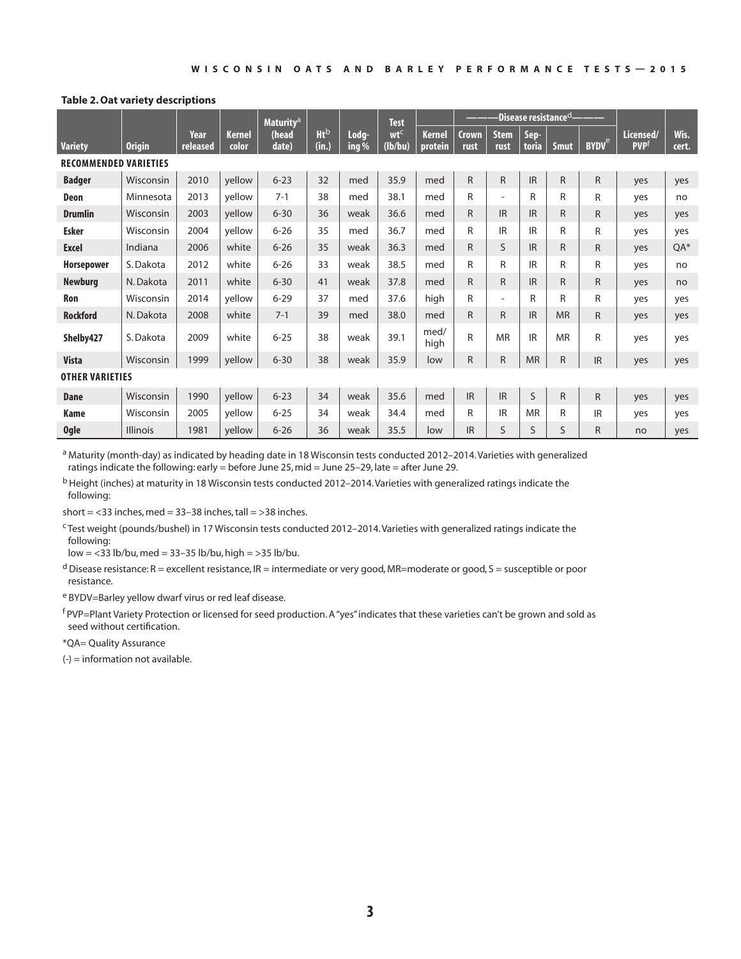### **Table 2. Oat variety descriptions**

|                              |                 |                  |                        | <b>Maturity<sup>a</sup></b> |                      |                  | <b>Test</b>                |                          | -Disease resistance <sup>d</sup> - |                          |               |              |                         |                                      |               |
|------------------------------|-----------------|------------------|------------------------|-----------------------------|----------------------|------------------|----------------------------|--------------------------|------------------------------------|--------------------------|---------------|--------------|-------------------------|--------------------------------------|---------------|
| <b>Variety</b>               | <b>Origin</b>   | Year<br>released | <b>Kernel</b><br>color | (head<br>date)              | <b>Ht</b> b<br>(in.) | Lodg-<br>ing $%$ | wt <sup>c</sup><br>(lb/bu) | <b>Kernel</b><br>protein | <b>Crown</b><br>rust               | <b>Stem</b><br>rust      | Sep-<br>toria | <b>Smut</b>  | <b>BYDV<sup>e</sup></b> | Licensed/<br><b>PVP</b> <sup>f</sup> | Wis.<br>cert. |
| <b>RECOMMENDED VARIETIES</b> |                 |                  |                        |                             |                      |                  |                            |                          |                                    |                          |               |              |                         |                                      |               |
| <b>Badger</b>                | Wisconsin       | 2010             | yellow                 | $6 - 23$                    | 32                   | med              | 35.9                       | med                      | $\mathsf{R}$                       | $\mathsf{R}$             | <b>IR</b>     | $\mathsf{R}$ | $\mathsf{R}$            | yes                                  | yes           |
| Deon                         | Minnesota       | 2013             | yellow                 | $7 - 1$                     | 38                   | med              | 38.1                       | med                      | $\mathsf{R}$                       | $\overline{\phantom{a}}$ | R             | R            | R                       | yes                                  | no            |
| <b>Drumlin</b>               | Wisconsin       | 2003             | yellow                 | $6 - 30$                    | 36                   | weak             | 36.6                       | med                      | $\mathsf{R}$                       | IR                       | <b>IR</b>     | $\mathsf{R}$ | R                       | yes                                  | yes           |
| <b>Esker</b>                 | Wisconsin       | 2004             | yellow                 | $6 - 26$                    | 35                   | med              | 36.7                       | med                      | R                                  | <b>IR</b>                | IR            | R            | R                       | yes                                  | yes           |
| <b>Excel</b>                 | Indiana         | 2006             | white                  | $6 - 26$                    | 35                   | weak             | 36.3                       | med                      | R                                  | S                        | <b>IR</b>     | R            | $\mathsf{R}$            | yes                                  | QA*           |
| <b>Horsepower</b>            | S. Dakota       | 2012             | white                  | $6 - 26$                    | 33                   | weak             | 38.5                       | med                      | R                                  | R                        | IR            | R            | R                       | yes                                  | no            |
| <b>Newburg</b>               | N. Dakota       | 2011             | white                  | $6 - 30$                    | 41                   | weak             | 37.8                       | med                      | R                                  | $\mathsf{R}$             | <b>IR</b>     | R            | R.                      | yes                                  | no            |
| Ron                          | Wisconsin       | 2014             | yellow                 | $6 - 29$                    | 37                   | med              | 37.6                       | high                     | R                                  | $\overline{\phantom{a}}$ | R             | R            | R                       | yes                                  | yes           |
| <b>Rockford</b>              | N. Dakota       | 2008             | white                  | $7 - 1$                     | 39                   | med              | 38.0                       | med                      | $\mathsf{R}$                       | $\mathsf{R}$             | <b>IR</b>     | <b>MR</b>    | $\mathsf{R}$            | yes                                  | yes           |
| Shelby427                    | S. Dakota       | 2009             | white                  | $6 - 25$                    | 38                   | weak             | 39.1                       | med/<br>high             | $\mathsf{R}$                       | <b>MR</b>                | IR            | <b>MR</b>    | R                       | yes                                  | yes           |
| <b>Vista</b>                 | Wisconsin       | 1999             | yellow                 | $6 - 30$                    | 38                   | weak             | 35.9                       | low                      | $\mathsf{R}$                       | $\mathsf{R}$             | <b>MR</b>     | R            | <b>IR</b>               | yes                                  | yes           |
| <b>OTHER VARIETIES</b>       |                 |                  |                        |                             |                      |                  |                            |                          |                                    |                          |               |              |                         |                                      |               |
| <b>Dane</b>                  | Wisconsin       | 1990             | yellow                 | $6 - 23$                    | 34                   | weak             | 35.6                       | med                      | <b>IR</b>                          | <b>IR</b>                | S             | $\mathsf{R}$ | $\mathsf{R}$            | yes                                  | yes           |
| <b>Kame</b>                  | Wisconsin       | 2005             | yellow                 | $6 - 25$                    | 34                   | weak             | 34.4                       | med                      | R                                  | IR                       | <b>MR</b>     | R            | <b>IR</b>               | yes                                  | yes           |
| <b>Ogle</b>                  | <b>Illinois</b> | 1981             | yellow                 | $6 - 26$                    | 36                   | weak             | 35.5                       | low                      | <b>IR</b>                          | S                        | $\mathsf{S}$  | $\mathsf{S}$ | R                       | no                                   | yes           |

a Maturity (month-day) as indicated by heading date in 18 Wisconsin tests conducted 2012-2014. Varieties with generalized ratings indicate the following: early = before June 25, mid = June 25–29, late = after June 29.

b Height (inches) at maturity in 18 Wisconsin tests conducted 2012–2014. Varieties with generalized ratings indicate the following:

short =  $<$ 33 inches, med = 33-38 inches, tall =  $>$ 38 inches.

c Test weight (pounds/bushel) in 17 Wisconsin tests conducted 2012–2014. Varieties with generalized ratings indicate the following:

low = <33 lb/bu, med = 33–35 lb/bu, high = >35 lb/bu.

 $d$  Disease resistance: R = excellent resistance, IR = intermediate or very good, MR=moderate or good, S = susceptible or poor resistance.

e BYDV=Barley yellow dwarf virus or red leaf disease.

f PVP=Plant Variety Protection or licensed for seed production. A "yes" indicates that these varieties can't be grown and sold as seed without certification.

\*QA= Quality Assurance

(-) = information not available.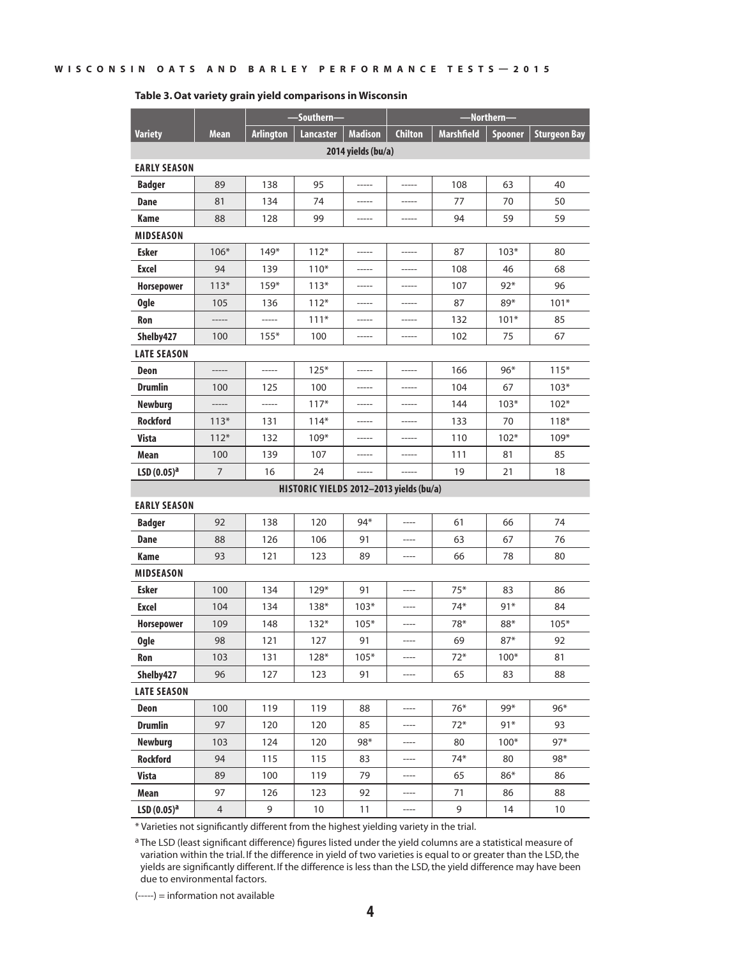|                        |                |                  | -Southern-                              |                    | -Northern-     |                   |                |                     |  |  |  |  |
|------------------------|----------------|------------------|-----------------------------------------|--------------------|----------------|-------------------|----------------|---------------------|--|--|--|--|
| <b>Variety</b>         | <b>Mean</b>    | <b>Arlington</b> | <b>Lancaster</b>                        | <b>Madison</b>     | <b>Chilton</b> | <b>Marshfield</b> | <b>Spooner</b> | <b>Sturgeon Bay</b> |  |  |  |  |
|                        |                |                  |                                         | 2014 yields (bu/a) |                |                   |                |                     |  |  |  |  |
| <b>EARLY SEASON</b>    |                |                  |                                         |                    |                |                   |                |                     |  |  |  |  |
| <b>Badger</b>          | 89             | 138              | 95                                      |                    |                | 108               | 63             | 40                  |  |  |  |  |
| Dane                   | 81             | 134              | 74                                      | -----              | -----          | 77                | 70             | 50                  |  |  |  |  |
| Kame                   | 88             | 128              | 99                                      | -----              | -----          | 94                | 59             | 59                  |  |  |  |  |
| <b>MIDSEASON</b>       |                |                  |                                         |                    |                |                   |                |                     |  |  |  |  |
| <b>Esker</b>           | $106*$         | $149*$           | $112*$                                  | $- - - - -$        | $-----1$       | 87                | $103*$         | 80                  |  |  |  |  |
| Excel                  | 94             | 139              | $110*$                                  |                    |                | 108               | 46             | 68                  |  |  |  |  |
| <b>Horsepower</b>      | $113*$         | $159*$           | $113*$                                  |                    |                | 107               | $92*$          | 96                  |  |  |  |  |
| <b>Ogle</b>            | 105            | 136              | $112*$                                  | -----              | -----          | 87                | 89*            | $101*$              |  |  |  |  |
| Ron                    |                |                  | $111*$                                  |                    |                | 132               | $101*$         | 85                  |  |  |  |  |
| Shelby427              | 100            | $155*$           | 100                                     | -----              |                | 102               | 75             | 67                  |  |  |  |  |
| <b>LATE SEASON</b>     |                |                  |                                         |                    |                |                   |                |                     |  |  |  |  |
| Deon                   |                | -----            | $125*$                                  |                    | -----          | 166               | $96*$          | $115*$              |  |  |  |  |
| <b>Drumlin</b>         | 100            | 125              | 100                                     |                    |                | 104               | 67             | $103*$              |  |  |  |  |
| <b>Newburg</b>         |                | -----            | $117*$                                  | -----              | -----          | 144               | $103*$         | $102*$              |  |  |  |  |
| <b>Rockford</b>        | $113*$         | 131              | $114*$                                  |                    |                | 133               | 70             | $118*$              |  |  |  |  |
| <b>Vista</b>           | $112*$         | 132              | $109*$                                  |                    |                | 110               | $102*$         | $109*$              |  |  |  |  |
| Mean                   | 100            | 139              | 107                                     | -----              | -----          | 111               | 81             | 85                  |  |  |  |  |
| LSD(0.05) <sup>a</sup> | 7              | 16               | 24                                      |                    |                | 19                | 21             | 18                  |  |  |  |  |
|                        |                |                  | HISTORIC YIELDS 2012-2013 yields (bu/a) |                    |                |                   |                |                     |  |  |  |  |
| <b>EARLY SEASON</b>    |                |                  |                                         |                    |                |                   |                |                     |  |  |  |  |
| <b>Badger</b>          | 92             | 138              | 120                                     | $94*$              |                | 61                | 66             | 74                  |  |  |  |  |
| Dane                   | 88             | 126              | 106                                     | 91                 | ----           | 63                | 67             | 76                  |  |  |  |  |
| Kame                   | 93             | 121              | 123                                     | 89                 | ----           | 66                | 78             | 80                  |  |  |  |  |
| <b>MIDSEASON</b>       |                |                  |                                         |                    |                |                   |                |                     |  |  |  |  |
| Esker                  | 100            | 134              | $129*$                                  | 91                 | ----           | $75*$             | 83             | 86                  |  |  |  |  |
| Excel                  | 104            | 134              | $138*$                                  | $103*$             |                | $74*$             | 91*            | 84                  |  |  |  |  |
| <b>Horsepower</b>      | 109            | 148              | $132*$                                  | $105*$             |                | 78*               | 88*            | $105*$              |  |  |  |  |
| <b>Ogle</b>            | 98             | 121              | 127                                     | 91                 | ----           | 69                | $87*$          | 92                  |  |  |  |  |
| Ron                    | 103            | 131              | $128*$                                  | $105*$             | ----           | $72*$             | $100*$         | 81                  |  |  |  |  |
| Shelby427              | 96             | 127              | 123                                     | 91                 |                | 65                | 83             | 88                  |  |  |  |  |
| <b>LATE SEASON</b>     |                |                  |                                         |                    |                |                   |                |                     |  |  |  |  |
| Deon                   | 100            | 119              | 119                                     | 88                 | ----           | $76*$             | 99*            | $96*$               |  |  |  |  |
| <b>Drumlin</b>         | 97             | 120              | 120                                     | 85                 |                | $72*$             | $91*$          | 93                  |  |  |  |  |
| <b>Newburg</b>         | 103            | 124              | 120                                     | 98*                | ----           | 80                | $100*$         | $97*$               |  |  |  |  |
| <b>Rockford</b>        | 94             | 115              | 115                                     | 83                 | ----           | $74*$             | 80             | 98*                 |  |  |  |  |
| <b>Vista</b>           | 89             | 100              | 119                                     | 79                 |                | 65                | 86*            | 86                  |  |  |  |  |
| Mean                   | 97             | 126              | 123                                     | 92                 | ----           | 71                | 86             | 88                  |  |  |  |  |
| LSD $(0.05)^a$         | $\overline{4}$ | 9                | 10                                      | 11                 | ----           | 9                 | 14             | 10                  |  |  |  |  |

#### **Table 3. Oat variety grain yield comparisons in Wisconsin**

\* Varieties not significantly different from the highest yielding variety in the trial.

a The LSD (least significant difference) figures listed under the yield columns are a statistical measure of variation within the trial. If the difference in yield of two varieties is equal to or greater than the LSD, the yields are significantly different. If the difference is less than the LSD, the yield difference may have been due to environmental factors.

(-----) = information not available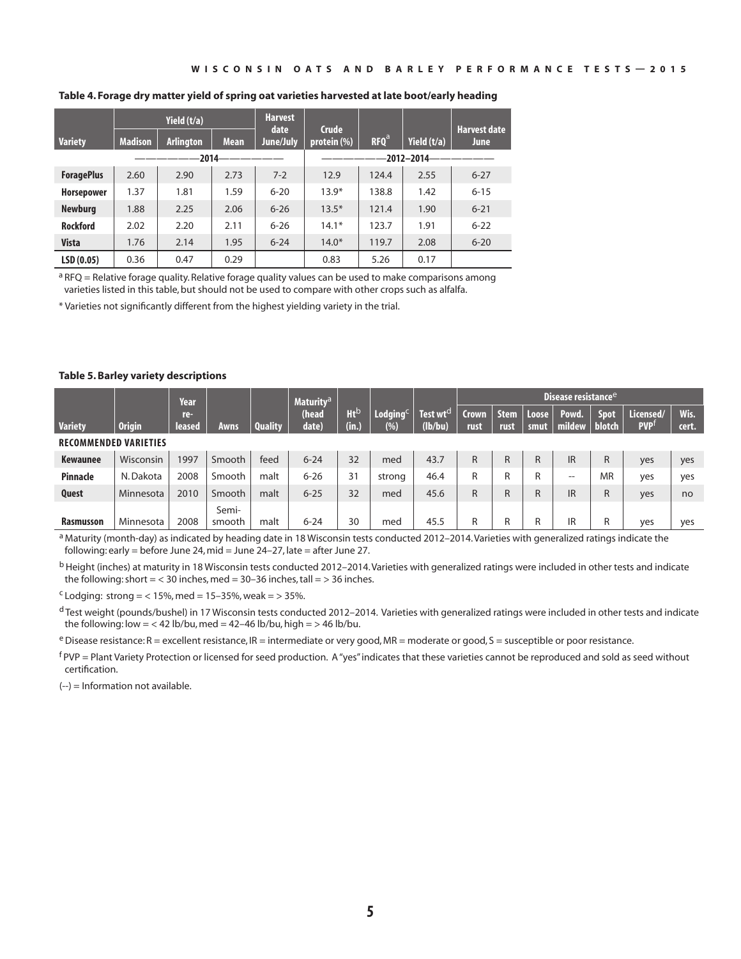|                   |                | Yield (t/a)      |             | <b>Harvest</b><br>date | <b>Crude</b>   |                  |             | <b>Harvest date</b> |  |  |
|-------------------|----------------|------------------|-------------|------------------------|----------------|------------------|-------------|---------------------|--|--|
| <b>Variety</b>    | <b>Madison</b> | <b>Arlington</b> | <b>Mean</b> | June/July              | protein $(\%)$ | RFO <sup>a</sup> | Yield (t/a) | <b>June</b>         |  |  |
|                   |                | -2014-           |             | $-2012 - 2014$         |                |                  |             |                     |  |  |
| <b>ForagePlus</b> | 2.60           | 2.90             | 2.73        | $7 - 2$                | 12.9           | 124.4            | 2.55        | $6 - 27$            |  |  |
| <b>Horsepower</b> | 1.37           | 1.81             | 1.59        | $6 - 20$               | $13.9*$        | 138.8            | 1.42        | $6 - 15$            |  |  |
| <b>Newburg</b>    | 1.88           | 2.25             | 2.06        | $6 - 26$               | $13.5*$        | 121.4            | 1.90        | $6 - 21$            |  |  |
| <b>Rockford</b>   | 2.02           | 2.20             | 2.11        | $6 - 26$               | $14.1*$        | 123.7            | 1.91        | $6 - 22$            |  |  |
| <b>Vista</b>      | 1.76           | 2.14             | 1.95        | $6 - 24$               | $14.0*$        | 119.7            | 2.08        | $6 - 20$            |  |  |
| LSD(0.05)         | 0.36           | 0.47             | 0.29        |                        | 0.83           | 5.26             | 0.17        |                     |  |  |

### **Table 4. Forage dry matter yield of spring oat varieties harvested at late boot/early heading**

 $a$  RFQ = Relative forage quality. Relative forage quality values can be used to make comparisons among varieties listed in this table, but should not be used to compare with other crops such as alfalfa.

\* Varieties not significantly different from the highest yielding variety in the trial.

### **Table 5. Barley variety descriptions**

|                              |                  | Year          |                 |                | <b>Maturity<sup>a</sup></b> |                          |                              |                               |                      |                     |               |                 | Disease resistance <sup>e</sup> |                         |               |  |  |
|------------------------------|------------------|---------------|-----------------|----------------|-----------------------------|--------------------------|------------------------------|-------------------------------|----------------------|---------------------|---------------|-----------------|---------------------------------|-------------------------|---------------|--|--|
| <b>Variety</b>               | <b>Origin</b>    | re-<br>leased | <b>Awns</b>     | <b>Quality</b> | (head<br>date)              | Ht <sup>b</sup><br>(in.) | Lodging $^\mathsf{c}$<br>(%) | Test wt $^{\rm d}$<br>(lb/bu) | <b>Crown</b><br>rust | <b>Stem</b><br>rust | Loose<br>smut | Powd.<br>mildew | <b>Spot</b><br><b>blotch</b>    | Licensed/<br><b>PVP</b> | Wis.<br>cert. |  |  |
| <b>RECOMMENDED VARIETIES</b> |                  |               |                 |                |                             |                          |                              |                               |                      |                     |               |                 |                                 |                         |               |  |  |
| Kewaunee                     | Wisconsin        | 997           | Smooth          | feed           | $6 - 24$                    | 32                       | med                          | 43.7                          | $\mathsf{R}$         | R                   | R             | <b>IR</b>       | R                               | yes                     | yes           |  |  |
| Pinnacle                     | N. Dakota        | 2008          | Smooth          | malt           | $6 - 26$                    | 31                       | strong                       | 46.4                          | R                    | R                   | R             | --              | <b>MR</b>                       | yes                     | yes           |  |  |
| Quest                        | <b>Minnesota</b> | 2010          | Smooth          | malt           | $6 - 25$                    | 32                       | med                          | 45.6                          | $\mathsf{R}$         | R                   | R             | <b>IR</b>       | R                               | yes                     | no            |  |  |
| <b>Rasmusson</b>             | Minnesota        | 2008          | Semi-<br>smooth | malt           | $6 - 24$                    | 30                       | med                          | 45.5                          | R                    | R                   | R             | IR              | R                               | yes                     | yes           |  |  |

a Maturity (month-day) as indicated by heading date in 18 Wisconsin tests conducted 2012-2014. Varieties with generalized ratings indicate the following: early = before June 24, mid = June  $24-27$ , late = after June 27.

<sup>b</sup> Height (inches) at maturity in 18 Wisconsin tests conducted 2012-2014. Varieties with generalized ratings were included in other tests and indicate the following: short =  $<$  30 inches, med = 30-36 inches, tall =  $>$  36 inches.

 $c$  Lodging: strong = < 15%, med = 15–35%, weak = > 35%.

d Test weight (pounds/bushel) in 17 Wisconsin tests conducted 2012-2014. Varieties with generalized ratings were included in other tests and indicate the following: low = < 42 lb/bu, med = 42-46 lb/bu, high = > 46 lb/bu.

 $e$  Disease resistance: R = excellent resistance, IR = intermediate or very good, MR = moderate or good, S = susceptible or poor resistance.

f PVP = Plant Variety Protection or licensed for seed production. A "yes" indicates that these varieties cannot be reproduced and sold as seed without certification.

(--) = Information not available.